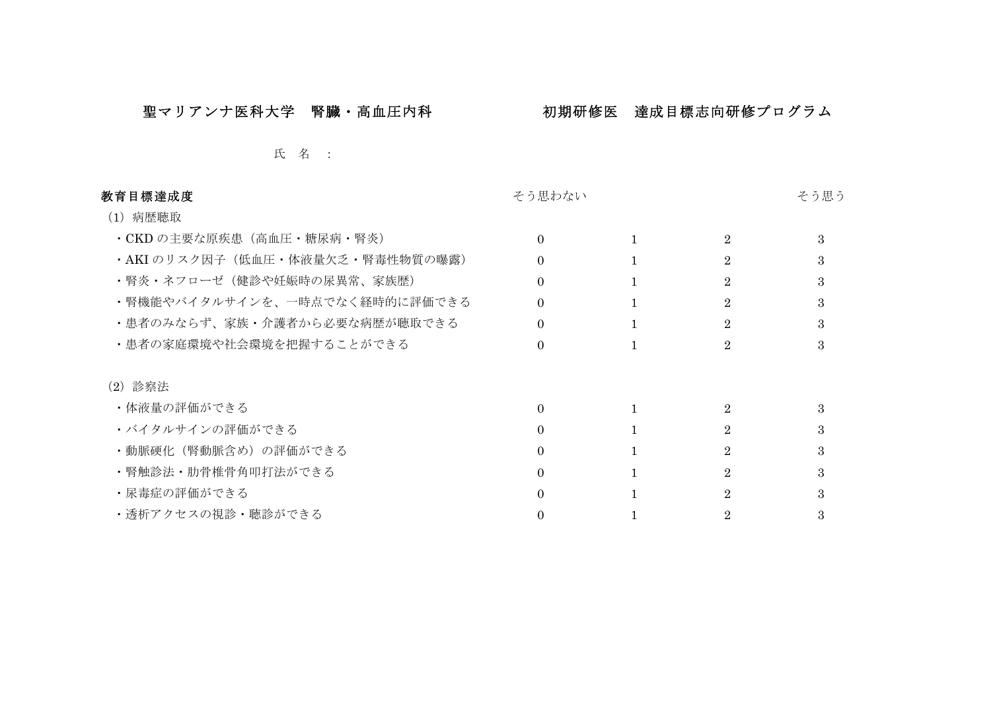## 聖マリアンナ医科大学 腎臓・高血圧内科 初期研修医 達成目標志向研修プログラム

## 氏 名 :

| 教育目標達成度                        | そう思わない   |                | そう思う |
|--------------------------------|----------|----------------|------|
| (1) 病歴聴取                       |          |                |      |
| ・CKD の主要な原疾患(高血圧・糖尿病・腎炎)       | 0        | $\overline{2}$ | 3    |
| ·AKIのリスク因子(低血圧・体液量欠乏・腎毒性物質の曝露) |          | $\overline{2}$ | З    |
| ・腎炎・ネフローゼ(健診や妊娠時の尿異常、家族歴)      | 0        | 2.             | 3    |
| ・腎機能やバイタルサインを、一時点でなく経時的に評価できる  | $\Omega$ | 2              | 3    |
| ・患者のみならず、家族・介護者から必要な病歴が聴取できる   |          | $\overline{2}$ | 3    |
| ・患者の家庭環境や社会環境を把握することができる       | 0        | 2.             |      |
| (2) 診察法                        |          |                |      |
| ・体液量の評価ができる                    | $\Omega$ | $\overline{2}$ | 3    |
| ・バイタルサインの評価ができる                |          | 2              | З    |
| ・動脈硬化(腎動脈含め)の評価ができる            | 0        | 2              | 3    |
| ・腎触診法・肋骨椎骨角叩打法ができる             | 0        | 2              | З    |
| ・尿毒症の評価ができる                    |          | 2.             |      |
| ・透析アクセスの視診・聴診ができる              |          |                |      |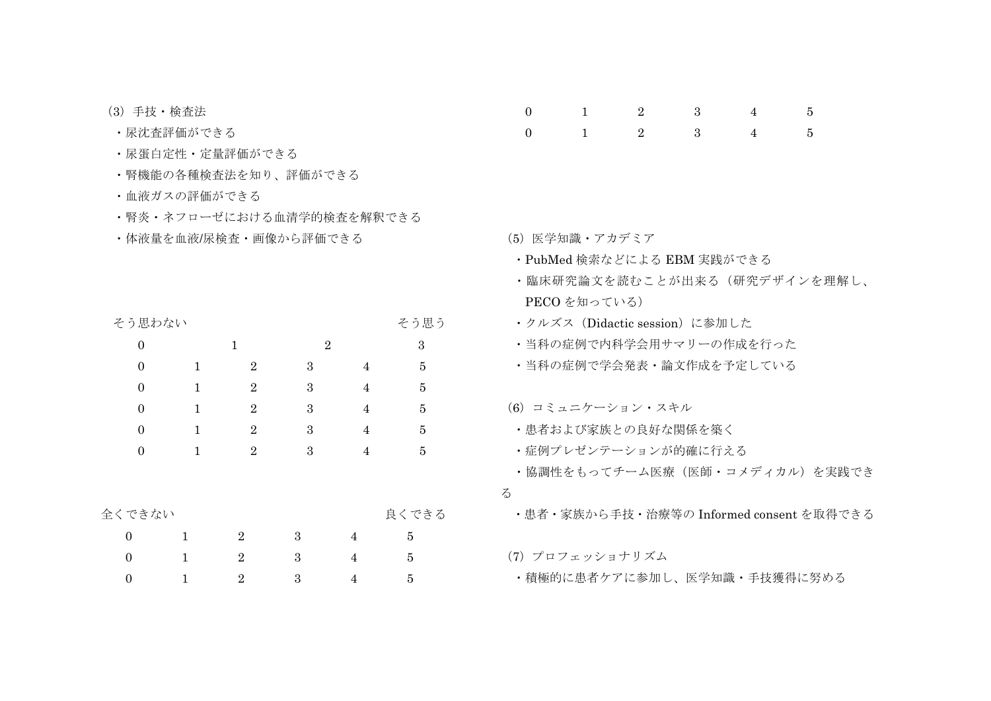- (3) 手技·検杳法
- ・尿沈杳評価ができる
- 尿蛋白定性 定量評価ができる
- 腎機能の各種検査法を知り、評価ができる
- 血液ガスの評価ができる
- 腎炎 ネフローゼにおける血清学的検査を解釈できる
- ・体液量を血液/尿検杳・画像から評価できる

そう思わない

| $\overline{0}$   |              | 1                | $\boldsymbol{2}$ |                | 3              |
|------------------|--------------|------------------|------------------|----------------|----------------|
| $\overline{0}$   | 1            | $\boldsymbol{2}$ | $\boldsymbol{3}$ | 4              | 5              |
| $\theta$         | 1            | $\overline{2}$   | 3                | $\overline{4}$ | $\overline{5}$ |
| $\theta$         | 1            | $\overline{2}$   | 3                | $\overline{4}$ | $\overline{5}$ |
| $\overline{0}$   | 1            | $\boldsymbol{2}$ | 3                | 4              | $\overline{5}$ |
| $\theta$         | 1            | $\overline{2}$   | 3                | 4              | $\bf 5$        |
|                  |              |                  |                  |                |                |
|                  |              |                  |                  |                |                |
| 全くできない           |              |                  |                  |                | 良くできる          |
| $\Omega$         | $\mathbf{1}$ | $\overline{2}$   | 3                | 4              | 5              |
| $\boldsymbol{0}$ | 1            | $\overline{2}$   | 3                | 4              | 5              |
| $\boldsymbol{0}$ | 1            | $\sqrt{2}$       | $\rm 3$          | 4              | $\overline{5}$ |

 $0 \qquad \qquad 1 \qquad \qquad 2$  $3 \qquad \qquad$  $5\overline{)}$  $4\degree$  $\overline{2}$  $\mathbf{3}$  $\Omega$  $\overline{4}$  $\overline{5}$  $\overline{1}$ 

- (5) 医学知識・アカデミア
- · PubMed 検索などによる EBM 実践ができる
- •臨床研究論文を読むことが出来る (研究デザインを理解し、 PECO を知っている)
- ・クルズス (Didactic session) に参加した
- 当科の症例で内科学会用サマリーの作成を行った
- 当科の症例で学会発表・論文作成を予定している

(6) コミュニケーション・スキル

- 患者および家族との良好な関係を築く
- 症例プレゼンテーションが的確に行える
- •協調性をもってチーム医療(医師・コメディカル)を実践でき
- $\zeta$

そう思う

・患者・家族から手技・治療等の Informed consent を取得できる

(7) プロフェッショナリズム

• 積極的に患者ケアに参加し、医学知識·手技獲得に努める